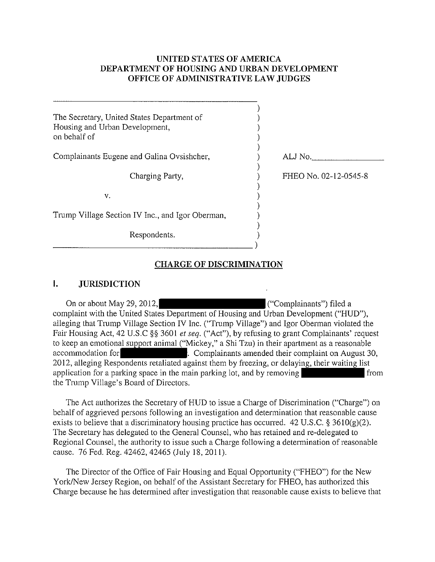# **UNITED STATES OF AMERICA DEPARTMENT OF HOUSING AND URBAN DEVELOPMENT OFFICE OF ADMINISTRATIVE LAW JUDGES**

| The Secretary, United States Department of<br>Housing and Urban Development,<br>on behalf of |                       |
|----------------------------------------------------------------------------------------------|-----------------------|
| Complainants Eugene and Galina Ovsishcher,                                                   | ALJ No.               |
| Charging Party,                                                                              | FHEO No. 02-12-0545-8 |
| v.                                                                                           |                       |
| Trump Village Section IV Inc., and Igor Oberman,                                             |                       |
| Respondents.                                                                                 |                       |
|                                                                                              |                       |

# **CHARGE OF DISCRIMINATION**

#### I. **JURISDICTION**

On or about May 29, 2012,  $\left($  ("Complainants") filed a complaint with the United States Department of Housing and Urban Development ("HUD"), alleging that Trump Village Section **IV** Inc. ("Trump Village") and Igor Oberman violated the Fair Housing Act, 42 U.S.C §§ 3601 *et seq.* ("Act"), by refusing to grant Complainants' request to keep an emotional support animal ("Mickey," a Shi Tzu) in their apartment as a reasonable accommodation for **Complainants** amended their complaint on August 30, 2012, alleging Respondents retaliated against them by freezing, or delaying, their waiting list application for a parking space in the main parking lot, and by removing the Trump Village's Board of Directors.

The Act authorizes the Secretary of HUD to issue a Charge of Discrimination ("Charge") on behalf of aggrieved persons following an investigation and determination that reasonable cause exists to believe that a discriminatory housing practice has occurred. 42 U.S.C. § 3610(g)(2). The Secretary has delegated to the General Counsel, who has retained and re-delegated to Regional Counsel, the authority to issue such a Charge following a determination of reasonable cause. 76 Fed. Reg. 42462, 42465 (July 18,2011).

The Director of the Office of Fair Housing and Equal Opportunity ("FHEO") for the New York/New Jersey Region, on behalf of the Assistant Secretary for FHEO, has authorized this Charge because he has determined after investigation that reasonable cause exists to believe that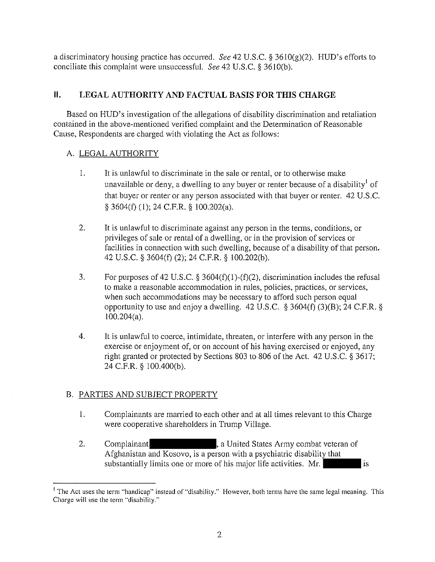a discriminatory housing practice has occurred. *See* 42 U.S.C. § 361O(g)(2). HUD's efforts to conciliate this complaint were unsuccessful. *See* 42 U.S.c. § 361O(b).

# **II. LEGAL AUTHORITY AND FACTUAL BASIS FOR THIS CHARGE**

Based on HUD's investigation of the allegations of disability discrimination and retaliation contained in the above-mentioned verified complaint and the Determination of Reasonable Cause, Respondents are charged with violating the Act as follows:

# A. LEGAL AUTHORITY

- I. It is unlawful to discriminate in the sale or rental, or to otherwise make unavailable or deny, a dwelling to any buyer or renter because of a disability of that buyer or renter or any person associated with that buyer or renter. 42 U.S.c. § 3604(f) (I); 24 C.P.R. § 100.202(a).
- 2. It is unlawful to discriminate against any person in the terms, conditions, or privileges of sale or rental of a dwelling, or in the provision of services or facilities in connection with such dwelling, because of a disability of that person. 42 U.S.C. § 3604(f) (2); 24 C.P.R. § 100.202(b).
- 3. For purposes of 42 U.S.C.  $\S$  3604(f)(1)-(f)(2), discrimination includes the refusal to make a reasonable accommodation in rules, policies, practices, or services, when such accommodations may be necessary to afford such person equal opportunity to use and enjoy a dwelling.  $42 \text{ U.S.C. }$  § 3604(f) (3)(B); 24 C.F.R. § 100.204(a).
- 4. It is unlawful to coerce, intimidate, threaten, or interfere with any person in the exercise or enjoyment of, or on account of his having exercised or enjoyed, any right granted or protected by Sections 803 to 806 of the Act. 42 U.S.C. § 3617; 24 C.F.R. § 100.400(b).

# B. PARTIES AND SUBJECT PROPERTY

- I. Complainants are married to each other and at all times relevant to this Charge were cooperative shareholders in Trump Village.
- 2. Complainant complained complained a United States Army combat veteran of Afghanistan and Kosovo, is a person with a psychiatric disability that substantially limits one or more of his major life activities. Mr.

<sup>&</sup>lt;sup>1</sup> The Act uses the term "handicap" instead of "disability." However, both terms have the same legal meaning. This **Charge will use the term "disability."**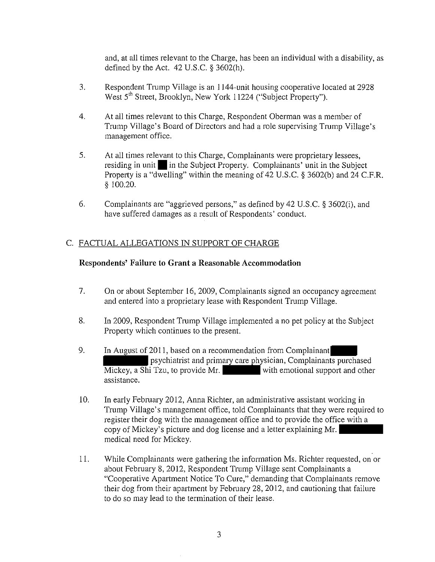and, at all times relevant to the Charge, has been an individual with a disability, as defined by the Act. 42 U.S.C. § 3602(h).

- 3. Respondent Trump Village is an 1144-unit housing cooperative located at 2928 West 5<sup>th</sup> Street, Brooklyn, New York 11224 ("Subject Property").
- 4. At all times relevant to this Charge, Respondent Oberman was a member of Trump Village's Board of Directors and had a role supervising Trump Village's management office.
- 5. At all times relevant to this Charge, Complainants were proprietary lessees, residing in unit in the Subject Property. Complainants' unit in the Subject Property is a "dwelling" within the meaning of 42 U.S.c. § 3602(b) and 24 C.F.R. § 100.20.
- 6. Complainants are "aggrieved persons," as defined by 42 U.S.C. § 3602(i), and have suffered damages as a result of Respondents' conduct.

# C. FACTUAL ALLEGATIONS IN SUPPORT OF CHARGE

### **Respondents' Failure to Grant a Reasonable Accommodation**

- 7. On or about September 16,2009, Complainants signed an occupancy agreement and entered into a proprietary lease with Respondent Trump Village.
- 8. In 2009, Respondent Trump Village implemented a no pet policy at the Subject Property which continues to the present.
- 9. In August of 2011, based on a recommendation from Complainant psychiatrist and primary care physician, Complainants purchased Mickey, a Shi Tzu, to provide Mr. with emotional support and other assistance.
- 10. In early February 2012, Anna Richter, an administrative assistant working in Trump Village's management office, told Complainants that they were required to register their dog with the management office and to provide the office with a copy of Mickey's picture and dog license and a letter explaining Mr. medical need for Mickey.
- II. While Complainants were gathering the information Ms. Richter requested, on or about February 8, 2012, Respondent Trump Village sent Complainants a "Cooperative Apartment Notice To Cure," demanding that Complainants remove their dog from their apartment by February 28, 2012, and cautioning that failure to do so may lead to the termination of their lease.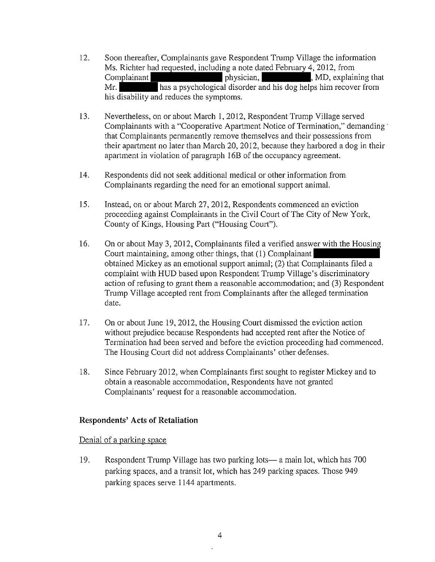- 12. Soon thereafter, Complainants gave Respondent Trump Village the information Ms. Richter had requested, including a note dated February 4,2012, from Complainant **physician,** Physician, MD, explaining that Mr. has a psychological disorder and his dog helps him recover from his disability and reduces the symptoms.
- 13. Nevertheless, on or about March 1,2012, Respondent Trump Village served Complainants with a "Cooperative Apartment Notice of Termination," demanding· that Complainants permanently remove themselves and their possessions from their apartment no later than March 20, 2012, because they harbored a dog in their apartment in violation of paragraph 16B of the occupancy agreement.
- 14. Respondents did not seek additional medical or other information from Complainants regarding the need for an emotional support animal.
- 15. Instead, on or about March 27, 2012, Respondents commenced an eviction proceeding against Complainants in the Civil Court of The City of New York, County of Kings, Housing Part ("Housing Court").
- 16. On or about May 3, 2012, Complainants filed a verified answer with the Housing Court maintaining, among other things, that (l) Complainant obtained Mickey as an emotional support animal; (2) that Complainants filed a complaint with HUD based upon Respondent Trump Village's discriminatory action of refusing to grant them a reasonable accommodation; and (3) Respondent Trump Village accepted rent from Complainants after the alleged termination date.
- 17. On or about June 19,2012, the Housing Court dismissed the eviction action without prejudice because Respondents had accepted rent after the Notice of Termination had been served and before the eviction proceeding had commenced. The Housing Court did not address Complainants' other defenses.
- 18. Since February 2012, when Complainants first sought to register Mickey and to obtain a reasonable accommodation, Respondents have not granted Complainants' request for a reasonable accommodation.

### **Respondents' Acts of Retaliation**

### Denial of a parking space

19. Respondent Trump Village has two parking lots- a main *lot,* which has 700 parking spaces, and a transit lot, which has 249 parking spaces. Those 949 parking spaces serve 1144 apartments.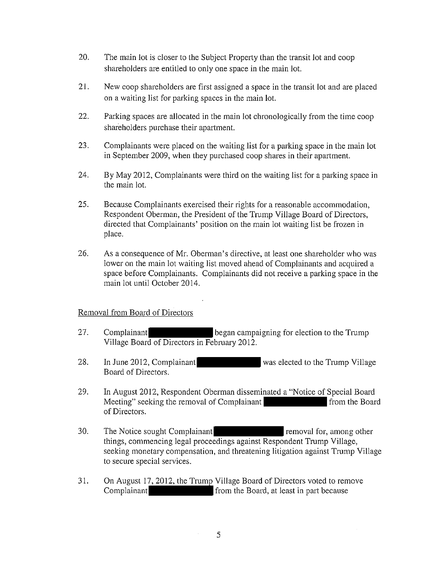- 20. The main lot is closer to the Subject Property than the transit lot and coop shareholders are entitled to only one space in the main lot.
- 21. New coop shareholders are first assigned a space in the transit lot and are placed on a waiting list for parking spaces in the main lot.
- 22. Parking spaces are allocated in the main lot chronologically from the time coop shareholders purchase their apartment.
- 23. Complainants were placed on the waiting list for a parking space in the main lot in September 2009, when they purchased coop shares in their apartment.
- 24. By May 2012, Complainants were third on the waiting list for a parking space in the main lot.
- 25. Because Complainants exercised their rights for a reasonable accommodation, Respondent Oberman, the President of the Trump Village Board of Directors, directed that Complainants' position on the main lot waiting list be frozen in place.
- 26. As a consequence of Mr. Oberman's directive, at least one shareholder who was lower on the main lot waiting list moved ahead of Complainants and acquired a space before Complainants. Complainants did not receive a parking space in the main lot until October 2014.

### Removal from Board of Directors

- 27. Complainant compaigning for election to the Trump Village Board of Directors in February 2012.
- 28. In June 2012, Complainant was elected to the Trump Village Board of Directors.
- 29. **In** August 2012, Respondent Oberman disseminated a "Notice of Special Board Meeting" seeking the removal of Complainant from the Board of Directors.
- 30. The Notice sought Complainant Terminiant removal for, among other things, commencing legal proceedings against Respondent Trump Village, seeking monetary compensation, and threatening litigation against Trump Village to secure special services.
- 31. On August 17,2012, the Trump Village Board of Directors voted to remove Complainant from the Board, at least in part because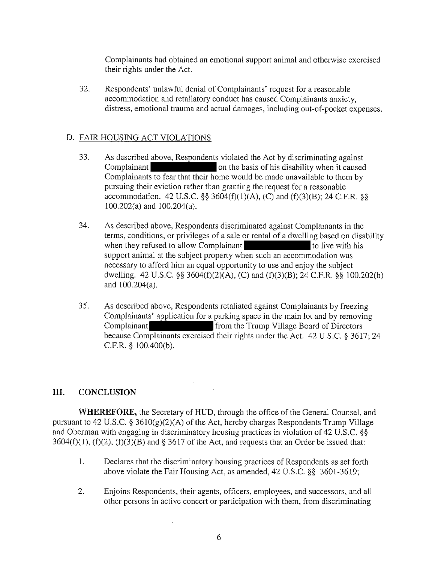Complainants had obtained an emotional support animal and otherwise exercised their rights under the Act.

32. Respondents' unlawful denial of Complainants' request for a reasonable accommodation and retaliatory conduct has caused Complainants anxiety, distress, emotional trauma and actual damages, including out-of-pocket expenses.

# D. FAIR HOUSING ACT VIOLATIONS

- 33. As described above, Respondents violated the Act by discriminating against Complainant **Complainant** on the basis of his disability when it caused Complainants to fear that their home would be made unavailable to them by pursuing their eviction rather than granting the request for a reasonable accommodation. 42 U.S.C. §§ 3604(f)(1)(A), (C) and (f)(3)(B); 24 C.F.R. §§ 100.202(a) and 100.204(a).
- 34. As described above, Respondents discriminated against Complainants in the terms, conditions, or privileges of a sale or rental of a dwelling based on disability when they refused to allow Complainant to live with his support animal at the subject property when such an accommodation was necessary to afford him an equal opportunity to use and enjoy the subject dwelling. 42 U.S.C. §§ 3604(f)(2)(A), (C) and (f)(3)(B); 24 C.F.R. §§ 100.202(b) and 100.204(a).
- 35. As described above, Respondents retaliated against Complainants by freezing Complainants' application for a parking space in the main lot and by removing Complainant **from the Trump Village Board of Directors** because Complainants exercised their rights under the Act. 42 U.S.c. § 3617; 24 C.F.R. § 100.400(b).

# **III.**  CONCLUSION

**WHEREFORE,** the Secretary of HUD, through the office of the General Counsel, and pursuant to 42 U.S.C. § 3610(g)(2)(A) of the Act, hereby charges Respondents Trump Village and Oberman with engaging in discriminatory housing practices in violation of 42 U.S.C. §§  $3604(f)(1)$ ,  $(f)(2)$ ,  $(f)(3)(B)$  and § 3617 of the Act, and requests that an Order be issued that:

- I. Declares that the discriminatory housing practices of Respondents as set forth above violate the Fair Housing Act, as amended, 42 U.S.c. §§ 3601-3619;
- 2. Enjoins Respondents, their agents, officers, employees, and successors, and all other persons in active concert or participation with them, from discriminating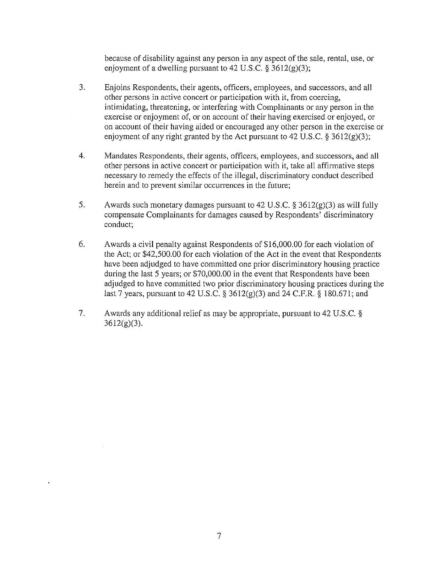because of disability against any person in any aspect of the sale, rental, use, or enjoyment of a dwelling pursuant to 42 U.S.C.  $\S 3612(g)(3)$ ;

- 3. Enjoins Respondents, their agents, officers, employees, and successors, and all other persons in active concert or participation with it, from coercing, intimidating, threatening, or interfering with Complainants or any person in the exercise or enjoyment of, or on account of their having exercised or enjoyed, or on account of their having aided or encouraged any other person in the exercise or enjoyment of any right granted by the Act pursuant to 42 U.S.C. § 3612(g)(3);
- 4. Mandates Respondents, their agents, officers, employees, and successors, and all other persons in active concert or participation with it, take all affirmative steps necessary to remedy the effects of the illegal, discriminatory conduct described herein and to prevent similar occurrences in the future;
- 5. Awards such monetary damages pursuant to 42 U.S.C. §  $3612(g)(3)$  as will fully compensate Complainants for damages caused by Respondents' discriminatory conduct;
- 6. Awards a civil penalty against Respondents of \$16,000.00 for each violation of the Act; or \$42,500.00 for each violation of the Act in the event that Respondents have been adjudged to have committed one prior discriminatory housing practice during the last 5 years; or \$70,000.00 in the event that Respondents have been adjudged to have committed two prior discriminatory housing practices during the last 7 years, pursuant to 42 U.S.C. § 3612(g)(3) and 24 C.F.R. § 180.671; and
- 7. Awards any additional relief as may be appropriate, pursuant to 42 U.S.C. §  $3612(g)(3)$ .